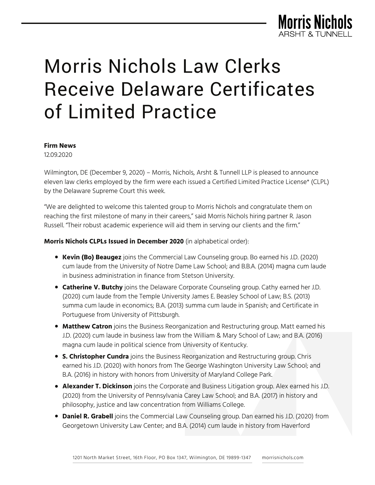

# Morris Nichols Law Clerks Receive Delaware Certificates of Limited Practice

#### **Firm News**

12.09.2020

Wilmington, DE (December 9, 2020) – Morris, Nichols, Arsht & Tunnell LLP is pleased to announce eleven law clerks employed by the firm were each issued a Certified Limited Practice License\* (CLPL) by the Delaware Supreme Court this week.

"We are delighted to welcome this talented group to Morris Nichols and congratulate them on reaching the first milestone of many in their careers," said Morris Nichols hiring partner R. Jason Russell. "Their robust academic experience will aid them in serving our clients and the firm."

**Morris Nichols CLPLs Issued in December 2020** (in alphabetical order):

- **Kevin (Bo) Beaugez** joins the Commercial Law Counseling group. Bo earned his J.D. (2020) cum laude from the University of Notre Dame Law School; and B.B.A. (2014) magna cum laude in business administration in finance from Stetson University.
- **Catherine V. Butchy** joins the Delaware Corporate Counseling group. Cathy earned her J.D. (2020) cum laude from the Temple University James E. Beasley School of Law; B.S. (2013) summa cum laude in economics; B.A. (2013) summa cum laude in Spanish; and Certificate in Portuguese from University of Pittsburgh.
- **Matthew Catron** joins the Business Reorganization and Restructuring group. Matt earned his J.D. (2020) cum laude in business law from the William & Mary School of Law; and B.A. (2016) magna cum laude in political science from University of Kentucky.
- **S. Christopher Cundra** joins the Business Reorganization and Restructuring group. Chris earned his J.D. (2020) with honors from The George Washington University Law School; and B.A. (2016) in history with honors from University of Maryland College Park.
- **Alexander T. Dickinson** joins the Corporate and Business Litigation group. Alex earned his J.D. (2020) from the University of Pennsylvania Carey Law School; and B.A. (2017) in history and philosophy, justice and law concentration from Williams College.
- **Daniel R. Grabell** joins the Commercial Law Counseling group. Dan earned his J.D. (2020) from Georgetown University Law Center; and B.A. (2014) cum laude in history from Haverford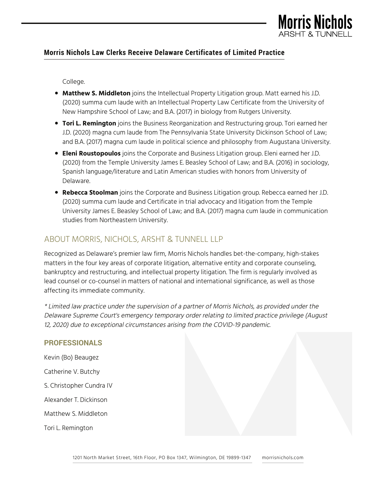

## **Morris Nichols Law Clerks Receive Delaware Certificates of Limited Practice**

College.

- **Matthew S. Middleton** joins the Intellectual Property Litigation group. Matt earned his J.D. (2020) summa cum laude with an Intellectual Property Law Certificate from the University of New Hampshire School of Law; and B.A. (2017) in biology from Rutgers University.
- **Tori L. Remington** joins the Business Reorganization and Restructuring group. Tori earned her J.D. (2020) magna cum laude from The Pennsylvania State University Dickinson School of Law; and B.A. (2017) magna cum laude in political science and philosophy from Augustana University.
- **Eleni Roustopoulos** joins the Corporate and Business Litigation group. Eleni earned her J.D. (2020) from the Temple University James E. Beasley School of Law; and B.A. (2016) in sociology, Spanish language/literature and Latin American studies with honors from University of Delaware.
- **Rebecca Stoolman** joins the Corporate and Business Litigation group. Rebecca earned her J.D. (2020) summa cum laude and Certificate in trial advocacy and litigation from the Temple University James E. Beasley School of Law; and B.A. (2017) magna cum laude in communication studies from Northeastern University.

## ABOUT MORRIS, NICHOLS, ARSHT & TUNNELL LLP

Recognized as Delaware's premier law firm, Morris Nichols handles bet-the-company, high-stakes matters in the four key areas of corporate litigation, alternative entity and corporate counseling, bankruptcy and restructuring, and intellectual property litigation. The firm is regularly involved as lead counsel or co-counsel in matters of national and international significance, as well as those affecting its immediate community.

\* Limited law practice under the supervision of a partner of Morris Nichols, as provided under the Delaware Supreme Court's emergency temporary order relating to limited practice privilege (August 12, 2020) due to exceptional circumstances arising from the COVID-19 pandemic.

## **PROFESSIONALS**

Kevin (Bo) Beaugez

Catherine V. Butchy

S. Christopher Cundra IV

Alexander T. Dickinson

Matthew S. Middleton

Tori L. Remington